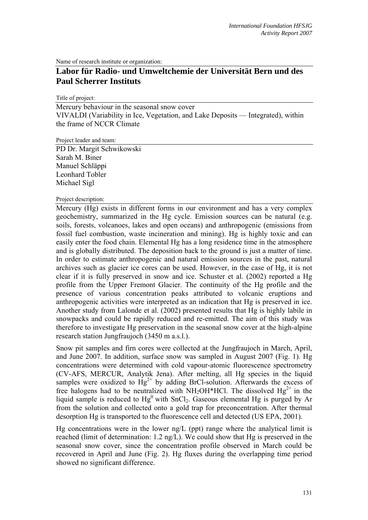Name of research institute or organization:

## **Labor für Radio- und Umweltchemie der Universität Bern und des Paul Scherrer Instituts**

Title of project:

Mercury behaviour in the seasonal snow cover VIVALDI (Variability in Ice, Vegetation, and Lake Deposits — Integrated), within the frame of NCCR Climate

Project leader and team:

PD Dr. Margit Schwikowski Sarah M. Biner Manuel Schläppi Leonhard Tobler Michael Sigl

## Project description:

Mercury (Hg) exists in different forms in our environment and has a very complex geochemistry, summarized in the Hg cycle. Emission sources can be natural (e.g. soils, forests, volcanoes, lakes and open oceans) and anthropogenic (emissions from fossil fuel combustion, waste incineration and mining). Hg is highly toxic and can easily enter the food chain. Elemental Hg has a long residence time in the atmosphere and is globally distributed. The deposition back to the ground is just a matter of time. In order to estimate anthropogenic and natural emission sources in the past, natural archives such as glacier ice cores can be used. However, in the case of Hg, it is not clear if it is fully preserved in snow and ice. Schuster et al. (2002) reported a Hg profile from the Upper Fremont Glacier. The continuity of the Hg profile and the presence of various concentration peaks attributed to volcanic eruptions and anthropogenic activities were interpreted as an indication that Hg is preserved in ice. Another study from Lalonde et al. (2002) presented results that Hg is highly labile in snowpacks and could be rapidly reduced and re-emitted. The aim of this study was therefore to investigate Hg preservation in the seasonal snow cover at the high-alpine research station Jungfraujoch (3450 m a.s.l.).

Snow pit samples and firn cores were collected at the Jungfraujoch in March, April, and June 2007. In addition, surface snow was sampled in August 2007 (Fig. 1). Hg concentrations were determined with cold vapour-atomic fluorescence spectrometry (CV-AFS, MERCUR, Analytik Jena). After melting, all Hg species in the liquid samples were oxidized to  $Hg^{2+}$  by adding BrCl-solution. Afterwards the excess of free halogens had to be neutralized with  $NH<sub>2</sub>OH<sup>*</sup>HC$ . The dissolved  $Hg<sup>2+</sup>$  in the liquid sample is reduced to  $Hg^0$  with SnCl<sub>2</sub>. Gaseous elemental Hg is purged by Ar from the solution and collected onto a gold trap for preconcentration. After thermal desorption Hg is transported to the fluorescence cell and detected (US EPA, 2001).

Hg concentrations were in the lower ng/L (ppt) range where the analytical limit is reached (limit of determination: 1.2 ng/L). We could show that Hg is preserved in the seasonal snow cover, since the concentration profile observed in March could be recovered in April and June (Fig. 2). Hg fluxes during the overlapping time period showed no significant difference.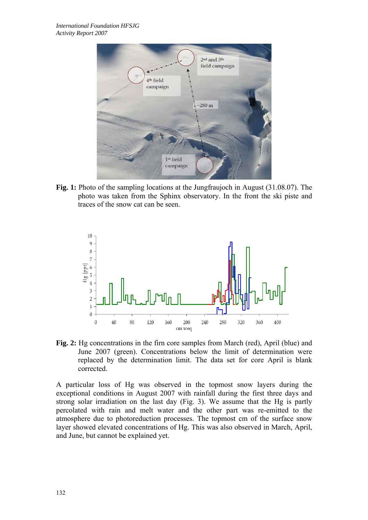

**Fig. 1:** Photo of the sampling locations at the Jungfraujoch in August (31.08.07). The photo was taken from the Sphinx observatory. In the front the ski piste and traces of the snow cat can be seen.



**Fig. 2:** Hg concentrations in the firn core samples from March (red), April (blue) and June 2007 (green). Concentrations below the limit of determination were replaced by the determination limit. The data set for core April is blank corrected.

A particular loss of Hg was observed in the topmost snow layers during the exceptional conditions in August 2007 with rainfall during the first three days and strong solar irradiation on the last day (Fig. 3). We assume that the Hg is partly percolated with rain and melt water and the other part was re-emitted to the atmosphere due to photoreduction processes. The topmost cm of the surface snow layer showed elevated concentrations of Hg. This was also observed in March, April, and June, but cannot be explained yet.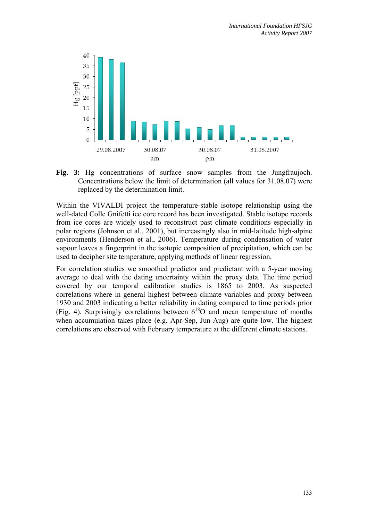

**Fig. 3:** Hg concentrations of surface snow samples from the Jungfraujoch. Concentrations below the limit of determination (all values for 31.08.07) were replaced by the determination limit.

Within the VIVALDI project the temperature-stable isotope relationship using the well-dated Colle Gnifetti ice core record has been investigated. Stable isotope records from ice cores are widely used to reconstruct past climate conditions especially in polar regions (Johnson et al., 2001), but increasingly also in mid-latitude high-alpine environments (Henderson et al., 2006). Temperature during condensation of water vapour leaves a fingerprint in the isotopic composition of precipitation, which can be used to decipher site temperature, applying methods of linear regression.

For correlation studies we smoothed predictor and predictant with a 5-year moving average to deal with the dating uncertainty within the proxy data. The time period covered by our temporal calibration studies is 1865 to 2003. As suspected correlations where in general highest between climate variables and proxy between 1930 and 2003 indicating a better reliability in dating compared to time periods prior (Fig. 4). Surprisingly correlations between  $\delta^{18}$ O and mean temperature of months when accumulation takes place (e.g. Apr-Sep, Jun-Aug) are quite low. The highest correlations are observed with February temperature at the different climate stations.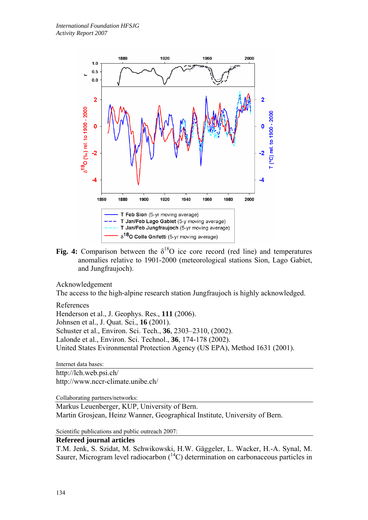

**Fig. 4:** Comparison between the  $\delta^{18}$ O ice core record (red line) and temperatures anomalies relative to 1901-2000 (meteorological stations Sion, Lago Gabiet, and Jungfraujoch).

Acknowledgement

The access to the high-alpine research station Jungfraujoch is highly acknowledged.

References

Henderson et al., J. Geophys. Res., **111** (2006). Johnsen et al., J. Quat. Sci., **16** (2001). Schuster et al., Environ. Sci. Tech., **36**, 2303–2310, (2002). Lalonde et al., Environ. Sci. Technol., **36**, 174-178 (2002). United States Evironmental Protection Agency (US EPA), Method 1631 (2001).

Internet data bases:

http://lch.web.psi.ch/ http://www.nccr-climate.unibe.ch/

Collaborating partners/networks:

Markus Leuenberger, KUP, University of Bern. Martin Grosjean, Heinz Wanner, Geographical Institute, University of Bern.

Scientific publications and public outreach 2007:

## **Refereed journal articles**

T.M. Jenk, S. Szidat, M. Schwikowski, H.W. Gäggeler, L. Wacker, H.-A. Synal, M. Saurer, Microgram level radiocarbon  $(14)$  determination on carbonaceous particles in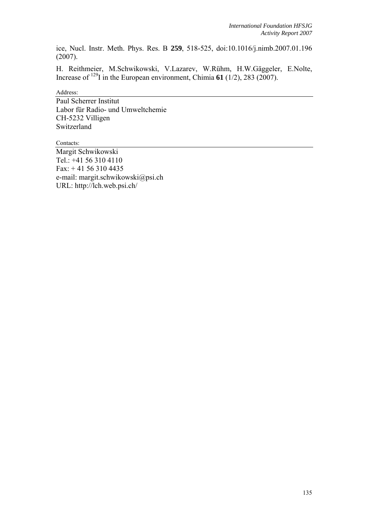ice, Nucl. Instr. Meth. Phys. Res. B **259**, 518-525, doi:10.1016/j.nimb.2007.01.196 (2007).

H. Reithmeier, M.Schwikowski, V.Lazarev, W.Rühm, H.W.Gäggeler, E.Nolte, Increase of  $^{129}$ I in the European environment, Chimia **61** (1/2), 283 (2007).

Address:

Paul Scherrer Institut Labor für Radio- und Umweltchemie CH-5232 Villigen Switzerland

Contacts: Margit Schwikowski Tel.: +41 56 310 4110 Fax: + 41 56 310 4435 e-mail: margit.schwikowski@psi.ch URL: http://lch.web.psi.ch/